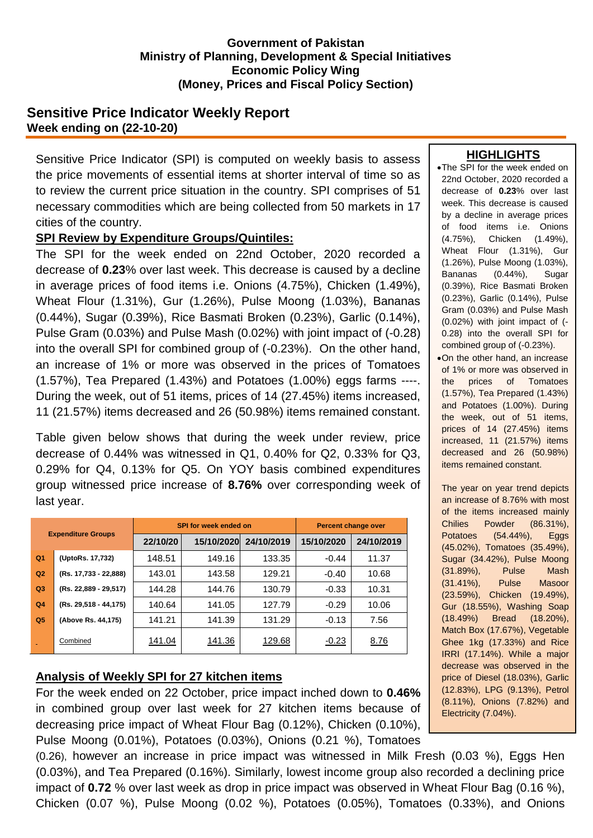## **Government of Pakistan Ministry of Planning, Development & Special Initiatives Economic Policy Wing (Money, Prices and Fiscal Policy Section)**

# **Sensitive Price Indicator Weekly Report Week ending on (22-10-20)**

Sensitive Price Indicator (SPI) is computed on weekly basis to assess the price movements of essential items at shorter interval of time so as to review the current price situation in the country. SPI comprises of 51 necessary commodities which are being collected from 50 markets in 17 cities of the country.

## **SPI Review by Expenditure Groups/Quintiles:**

The SPI for the week ended on 22nd October, 2020 recorded a decrease of **0.23**% over last week. This decrease is caused by a decline in average prices of food items i.e. Onions (4.75%), Chicken (1.49%), Wheat Flour (1.31%), Gur (1.26%), Pulse Moong (1.03%), Bananas (0.44%), Sugar (0.39%), Rice Basmati Broken (0.23%), Garlic (0.14%), Pulse Gram (0.03%) and Pulse Mash (0.02%) with joint impact of (-0.28) into the overall SPI for combined group of (-0.23%). On the other hand, an increase of 1% or more was observed in the prices of Tomatoes (1.57%), Tea Prepared (1.43%) and Potatoes (1.00%) eggs farms ----. During the week, out of 51 items, prices of 14 (27.45%) items increased, 11 (21.57%) items decreased and 26 (50.98%) items remained constant.

Table given below shows that during the week under review, price decrease of 0.44% was witnessed in Q1, 0.40% for Q2, 0.33% for Q3, 0.29% for Q4, 0.13% for Q5. On YOY basis combined expenditures group witnessed price increase of **8.76%** over corresponding week of last year.

| <b>Expenditure Groups</b> |                       |          | SPI for week ended on | Percent change over |            |            |
|---------------------------|-----------------------|----------|-----------------------|---------------------|------------|------------|
|                           |                       | 22/10/20 | 15/10/2020            | 24/10/2019          | 15/10/2020 | 24/10/2019 |
| Q <sub>1</sub>            | (UptoRs. 17,732)      | 148.51   | 149.16                | 133.35              | $-0.44$    | 11.37      |
| Q2                        | (Rs. 17,733 - 22,888) | 143.01   | 143.58                | 129.21              | $-0.40$    | 10.68      |
| Q3                        | (Rs. 22,889 - 29,517) | 144.28   | 144.76                | 130.79              | $-0.33$    | 10.31      |
| Q <sub>4</sub>            | (Rs. 29,518 - 44,175) | 140.64   | 141.05                | 127.79              | $-0.29$    | 10.06      |
| Q <sub>5</sub>            | (Above Rs. 44,175)    | 141.21   | 141.39                | 131.29              | $-0.13$    | 7.56       |
|                           | Combined              | 141.04   | 141.36                | 129.68              | $-0.23$    | 8.76       |

## **Analysis of Weekly SPI for 27 kitchen items**

For the week ended on 22 October, price impact inched down to **0.46%** in combined group over last week for 27 kitchen items because of decreasing price impact of Wheat Flour Bag (0.12%), Chicken (0.10%), Pulse Moong (0.01%), Potatoes (0.03%), Onions (0.21 %), Tomatoes

(0.26), however an increase in price impact was witnessed in Milk Fresh (0.03 %), Eggs Hen (0.03%), and Tea Prepared (0.16%). Similarly, lowest income group also recorded a declining price impact of **0.72** % over last week as drop in price impact was observed in Wheat Flour Bag (0.16 %), Chicken (0.07 %), Pulse Moong (0.02 %), Potatoes (0.05%), Tomatoes (0.33%), and Onions

#### **HIGHLIGHTS**

•The SPI for the week ended on 22nd October, 2020 recorded a decrease of **0.23**% over last week. This decrease is caused by a decline in average prices of food items i.e. Onions (4.75%), Chicken (1.49%), Wheat Flour (1.31%), Gur (1.26%), Pulse Moong (1.03%), Bananas (0.44%), Sugar (0.39%), Rice Basmati Broken (0.23%), Garlic (0.14%), Pulse Gram (0.03%) and Pulse Mash (0.02%) with joint impact of (- 0.28) into the overall SPI for combined group of (-0.23%).

On the other hand, an increase of 1% or more was observed in the prices of Tomatoes (1.57%), Tea Prepared (1.43%) and Potatoes (1.00%). During the week, out of 51 items, prices of 14 (27.45%) items increased, 11 (21.57%) items decreased and 26 (50.98%) items remained constant.

The year on year trend depicts an increase of 8.76% with most of the items increased mainly Chilies Powder (86.31%), Potatoes (54.44%), Eggs (45.02%), Tomatoes (35.49%), Sugar (34.42%), Pulse Moong (31.89%), Pulse Mash (31.41%), Pulse Masoor (23.59%), Chicken (19.49%), Gur (18.55%), Washing Soap (18.49%) Bread (18.20%), Match Box (17.67%), Vegetable Ghee 1kg (17.33%) and Rice IRRI (17.14%). While a major decrease was observed in the price of Diesel (18.03%), Garlic (12.83%), LPG (9.13%), Petrol (8.11%), Onions (7.82%) and Electricity (7.04%).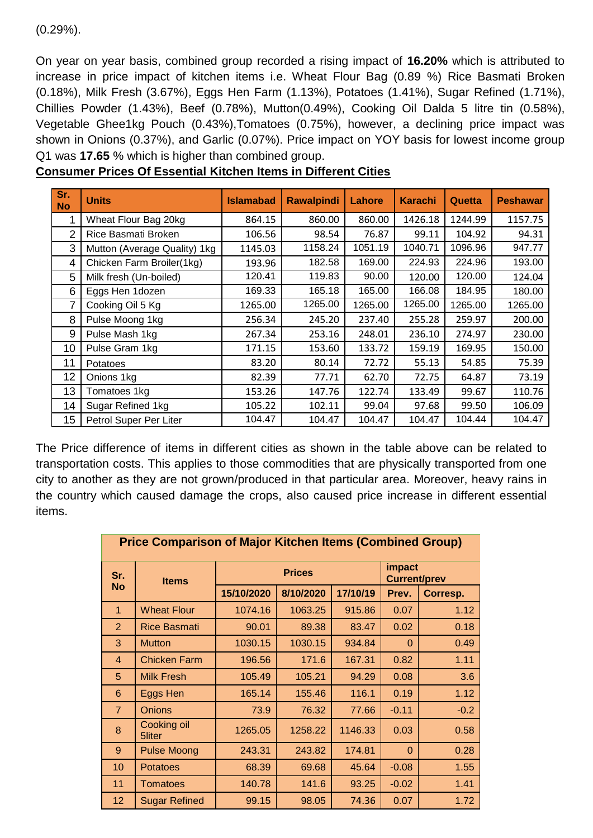## (0.29%).

On year on year basis, combined group recorded a rising impact of **16.20%** which is attributed to increase in price impact of kitchen items i.e. Wheat Flour Bag (0.89 %) Rice Basmati Broken (0.18%), Milk Fresh (3.67%), Eggs Hen Farm (1.13%), Potatoes (1.41%), Sugar Refined (1.71%), Chillies Powder (1.43%), Beef (0.78%), Mutton(0.49%), Cooking Oil Dalda 5 litre tin (0.58%), Vegetable Ghee1kg Pouch (0.43%),Tomatoes (0.75%), however, a declining price impact was shown in Onions (0.37%), and Garlic (0.07%). Price impact on YOY basis for lowest income group Q1 was **17.65** % which is higher than combined group.

| Sr.<br><b>No</b> | <b>Units</b>                 | <b>Islamabad</b> | <b>Rawalpindi</b> | <b>Lahore</b> | <b>Karachi</b> | Quetta  | <b>Peshawar</b> |
|------------------|------------------------------|------------------|-------------------|---------------|----------------|---------|-----------------|
| 1                | Wheat Flour Bag 20kg         | 864.15           | 860.00            | 860.00        | 1426.18        | 1244.99 | 1157.75         |
| $\overline{2}$   | Rice Basmati Broken          | 106.56           | 98.54             | 76.87         | 99.11          | 104.92  | 94.31           |
| 3                | Mutton (Average Quality) 1kg | 1145.03          | 1158.24           | 1051.19       | 1040.71        | 1096.96 | 947.77          |
| 4                | Chicken Farm Broiler(1kg)    | 193.96           | 182.58            | 169.00        | 224.93         | 224.96  | 193.00          |
| 5                | Milk fresh (Un-boiled)       | 120.41           | 119.83            | 90.00         | 120.00         | 120.00  | 124.04          |
| 6                | Eggs Hen 1dozen              | 169.33           | 165.18            | 165.00        | 166.08         | 184.95  | 180.00          |
| 7                | Cooking Oil 5 Kg             | 1265.00          | 1265.00           | 1265.00       | 1265.00        | 1265.00 | 1265.00         |
| 8                | Pulse Moong 1kg              | 256.34           | 245.20            | 237.40        | 255.28         | 259.97  | 200.00          |
| 9                | Pulse Mash 1kg               | 267.34           | 253.16            | 248.01        | 236.10         | 274.97  | 230.00          |
| 10               | Pulse Gram 1kg               | 171.15           | 153.60            | 133.72        | 159.19         | 169.95  | 150.00          |
| 11               | <b>Potatoes</b>              | 83.20            | 80.14             | 72.72         | 55.13          | 54.85   | 75.39           |
| 12               | Onions 1kg                   | 82.39            | 77.71             | 62.70         | 72.75          | 64.87   | 73.19           |
| 13               | Tomatoes 1kg                 | 153.26           | 147.76            | 122.74        | 133.49         | 99.67   | 110.76          |
| 14               | Sugar Refined 1kg            | 105.22           | 102.11            | 99.04         | 97.68          | 99.50   | 106.09          |
| 15               | Petrol Super Per Liter       | 104.47           | 104.47            | 104.47        | 104.47         | 104.44  | 104.47          |

| <b>Consumer Prices Of Essential Kitchen Items in Different Cities</b> |  |
|-----------------------------------------------------------------------|--|
|                                                                       |  |

The Price difference of items in different cities as shown in the table above can be related to transportation costs. This applies to those commodities that are physically transported from one city to another as they are not grown/produced in that particular area. Moreover, heavy rains in the country which caused damage the crops, also caused price increase in different essential items.

| <b>Price Comparison of Major Kitchen Items (Combined Group)</b> |                       |            |               |                               |          |          |
|-----------------------------------------------------------------|-----------------------|------------|---------------|-------------------------------|----------|----------|
| Sr.<br><b>No</b>                                                | <b>Items</b>          |            | <b>Prices</b> | impact<br><b>Current/prev</b> |          |          |
|                                                                 |                       | 15/10/2020 | 8/10/2020     | 17/10/19                      | Prev.    | Corresp. |
| $\mathbf{1}$                                                    | <b>Wheat Flour</b>    | 1074.16    | 1063.25       | 915.86                        | 0.07     | 1.12     |
| $\overline{2}$                                                  | <b>Rice Basmati</b>   | 90.01      | 89.38         | 83.47                         | 0.02     | 0.18     |
| 3                                                               | <b>Mutton</b>         | 1030.15    | 1030.15       | 934.84                        | $\Omega$ | 0.49     |
| $\overline{4}$                                                  | <b>Chicken Farm</b>   | 196.56     | 171.6         | 167.31                        | 0.82     | 1.11     |
| 5                                                               | <b>Milk Fresh</b>     | 105.49     | 105.21        | 94.29                         | 0.08     | 3.6      |
| 6                                                               | Eggs Hen              | 165.14     | 155.46        | 116.1                         | 0.19     | 1.12     |
| $\overline{7}$                                                  | <b>Onions</b>         | 73.9       | 76.32         | 77.66                         | $-0.11$  | $-0.2$   |
| 8                                                               | Cooking oil<br>5liter | 1265.05    | 1258.22       | 1146.33                       | 0.03     | 0.58     |
| 9                                                               | <b>Pulse Moong</b>    | 243.31     | 243.82        | 174.81                        | $\Omega$ | 0.28     |
| 10                                                              | <b>Potatoes</b>       | 68.39      | 69.68         | 45.64                         | $-0.08$  | 1.55     |
| 11                                                              | <b>Tomatoes</b>       | 140.78     | 141.6         | 93.25                         | $-0.02$  | 1.41     |
| 12 <sub>2</sub>                                                 | <b>Sugar Refined</b>  | 99.15      | 98.05         | 74.36                         | 0.07     | 1.72     |